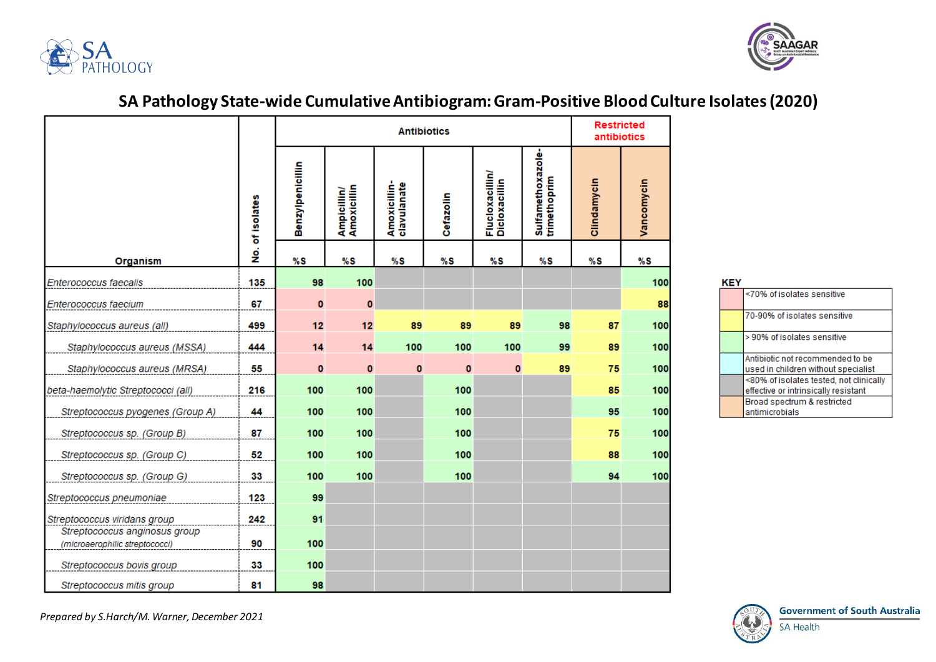



## **SA Pathology State-wide Cumulative Antibiogram: Gram-Positive Blood Culture Isolates (2020)**

|                                                                 |                 | <b>Antibiotics</b> |                            |                             |           |                                  |                                   | <b>Restricted</b><br>antibiotics |            |
|-----------------------------------------------------------------|-----------------|--------------------|----------------------------|-----------------------------|-----------|----------------------------------|-----------------------------------|----------------------------------|------------|
|                                                                 | No. of isolates | Benzylpenicillin   | Ampicillin/<br>Amoxicillin | Amoxicillin-<br>clavulanate | Cefazolin | Flucloxacillin/<br>Dicloxacillin | Sulfamethoxazole-<br>trimethoprim | Clindamycin                      | Vancomycin |
| Organism                                                        |                 | %S                 | %S                         | %S                          | %S        | %S                               | %S                                | %S                               | %S         |
| Enterococcus faecalis                                           | 135             | 98                 | 100                        |                             |           |                                  |                                   |                                  | 100        |
| Enterococcus faecium                                            | 67              | $\bullet$          | $\bf{0}$                   |                             |           |                                  |                                   |                                  | 88         |
| Staphylococcus aureus (all)                                     | 499             | 12                 | 12                         | 89                          | 89        | 89                               | 98                                | 87                               | 100        |
| Staphylococcus aureus (MSSA)                                    | 444             | 14                 | 14                         | 100                         | 100       | 100                              | 99                                | 89                               | 100        |
| Staphylococcus aureus (MRSA)                                    | 55              | $\bf{0}$           | $\bf{0}$                   | $\bf{0}$                    | $\bf{0}$  | $\bf{0}$                         | 89                                | 75                               | 100        |
| beta-haemolytic Streptococci (all)                              | 216             | 100                | 100                        |                             | 100       |                                  |                                   | 85                               | 100        |
| Streptococcus pyogenes (Group A)                                | 44              | 100                | 100                        |                             | 100       |                                  |                                   | 95                               | 100        |
| Streptococcus sp. (Group B)                                     | 87              | 100                | 100                        |                             | 100       |                                  |                                   | 75                               | 100        |
| Streptococcus sp. (Group C)                                     | 52              | 100                | 100                        |                             | 100       |                                  |                                   | 88                               | 100        |
| Streptococcus sp. (Group G)                                     | 33              | 100                | 100                        |                             | 100       |                                  |                                   | 94                               | 100        |
| Streptococcus pneumoniae                                        | 123             | 99                 |                            |                             |           |                                  |                                   |                                  |            |
| Streptococcus viridans group                                    | 242             | 91                 |                            |                             |           |                                  |                                   |                                  |            |
| Streptococcus anginosus group<br>(microaerophilic streptococci) | 90              | 100                |                            |                             |           |                                  |                                   |                                  |            |
| Streptococcus bovis group                                       | 33              | 100                |                            |                             |           |                                  |                                   |                                  |            |
| Streptococcus mitis group                                       | 81              | 98                 |                            |                             |           |                                  |                                   |                                  |            |

| <70% of isolates sensitive                                                      |
|---------------------------------------------------------------------------------|
| 70-90% of isolates sensitive                                                    |
| > 90% of isolates sensitive                                                     |
| Antibiotic not recommended to be<br>used in children without specialist         |
| <80% of isolates tested, not clinically<br>effective or intrinsically resistant |
| Broad spectrum & restricted<br>antimicrobials                                   |



*Prepared by S.Harch/M. Warner, December 2021*